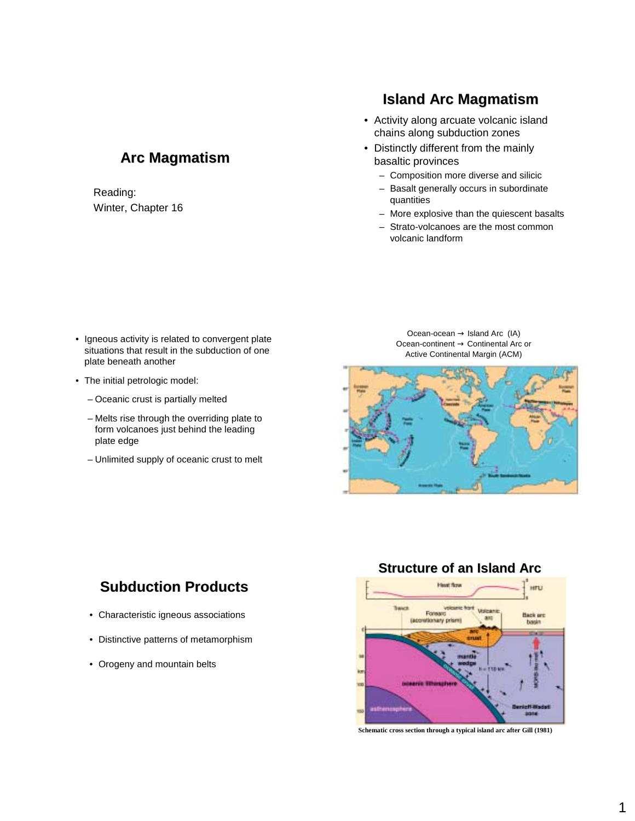# **Arc Magmatism**

#### Reading: Winter, Chapter 16

# **Island Arc Magmatism**

- Activity along arcuate volcanic island chains along subduction zones
- Distinctly different from the mainly basaltic provinces
	- Composition more diverse and silicic
	- Basalt generally occurs in subordinate quantities
	- More explosive than the quiescent basalts
	- Strato-volcanoes are the most common volcanic landform

- Igneous activity is related to convergent plate situations that result in the subduction of one plate beneath another
- The initial petrologic model:
	- Oceanic crust is partially melted
	- Melts rise through the overriding plate to form volcanoes just behind the leading plate edge
	- Unlimited supply of oceanic crust to melt

Ocean-ocean  $\rightarrow$  Island Arc (IA) Ocean-continent → Continental Arc or Active Continental Margin (ACM)



# **Subduction Products**

- Characteristic igneous associations
- Distinctive patterns of metamorphism
- Orogeny and mountain belts



**Schematic cross section through a typical island arc after Gill (1981)**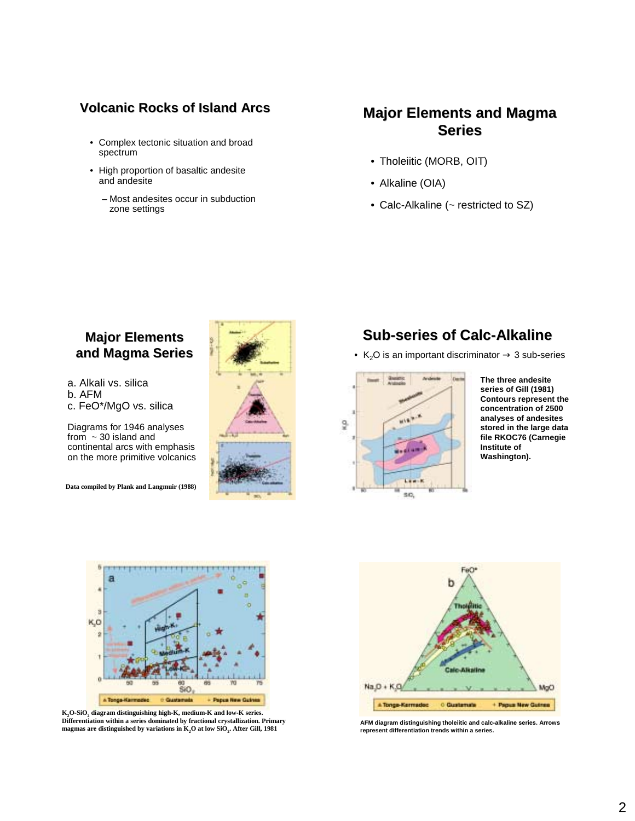#### **Volcanic Rocks of Island Arcs**

- Complex tectonic situation and broad spectrum
- High proportion of basaltic andesite and andesite
	- Most andesites occur in subduction zone settings

# **Major Elements and Magma Series**

- Tholeiitic (MORB, OIT)
- Alkaline (OIA)
- Calc-Alkaline (~ restricted to SZ)

### **Major Elements Major Elements and Magma Series**

a. Alkali vs. silica

- b. AFM
- c. FeO\*/MgO vs. silica

Diagrams for 1946 analyses from  $\sim$  30 island and continental arcs with emphasis on the more primitive volcanics

**Data compiled by Plank and Langmuir (1988)**



# **Sub-series of Calc-Alkaline**

• K<sub>2</sub>O is an important discriminator  $\rightarrow$  3 sub-series



**The three andesite series of Gill (1981) Contours represent the concentration of 2500 analyses of andesites stored in the large data file RKOC76 (Carnegie Institute of Washington).** 



**K2O-SiO2 diagram distinguishing high-K, medium-K and low-K series. Differentiation within a series dominated by fractional crystallization. Primary**  Differentiation within a series dominated by fractional crystallization. Primary<br>magmas are distinguished by variations in K<sub>2</sub>O at low SiO<sub>2</sub>. After Gill, 1981 **ACCO** represent differentiation trends within a series.



**represent differentiation trends within a series.**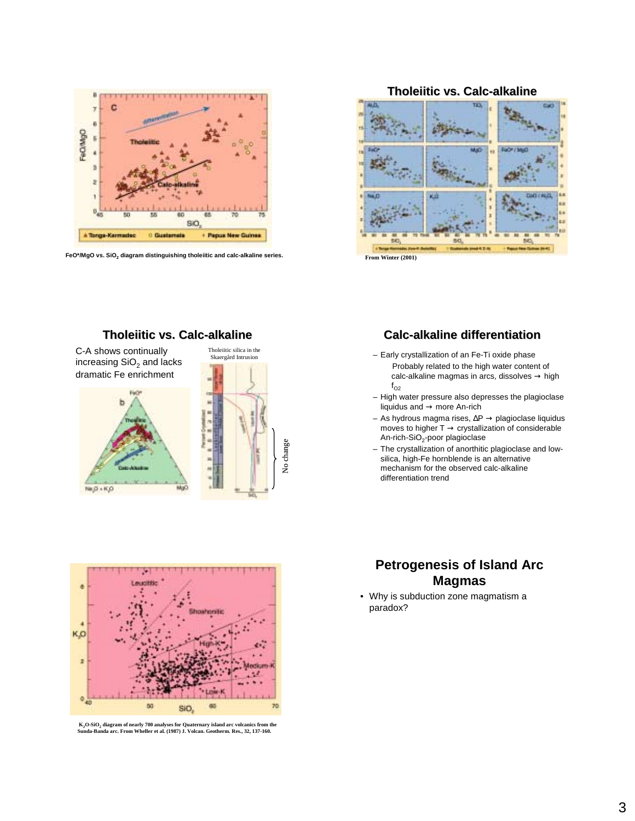

FeO\*/MgO vs. SiO<sub>2</sub> diagram distinguishing tholeiitic and calc-alkaline series.

**Tholeiitic vs. Calc-alkaline**

Tholeiitic silica in the Skaergård Intrusion

No change

C-A shows continually increasing  $SiO<sub>2</sub>$  and lacks dramatic Fe enrichment

 $N = D + K D$ 

#### **Tholeiitic vs. Calc-alkaline**



#### **Calc-alkaline differentiation**

- Early crystallization of an Fe-Ti oxide phase Probably related to the high water content of  $calc$ -alkaline magmas in arcs, dissolves  $\rightarrow$  high  $f_{O2}$
- High water pressure also depresses the plagioclase liquidus and → more An-rich
- As hydrous magma rises, ∆P → plagioclase liquidus moves to higher  $T \rightarrow$  crystallization of considerable An-rich-SiO<sub>2</sub>-poor plagioclase
- The crystallization of anorthitic plagioclase and lowsilica, high-Fe hornblende is an alternative mechanism for the observed calc-alkaline differentiation trend



**K2O-SiO2 diagram of nearly 700 analyses for Quaternary island arc volcanics from the Sunda-Banda arc. From Wheller et al. (1987) J. Volcan. Geotherm. Res., 32, 137-160.** 

## **Petrogenesis of Island Arc Magmas**

• Why is subduction zone magmatism a paradox?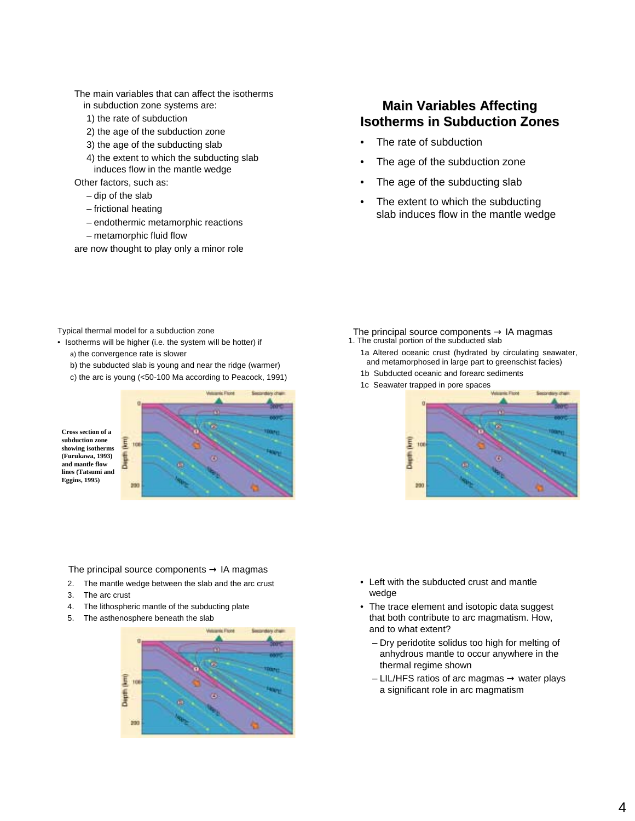The main variables that can affect the isotherms

- in subduction zone systems are:
- 1) the rate of subduction
- 2) the age of the subduction zone
- 3) the age of the subducting slab
- 4) the extent to which the subducting slab induces flow in the mantle wedge

Other factors, such as:

- dip of the slab
- frictional heating
- endothermic metamorphic reactions
- metamorphic fluid flow
- are now thought to play only a minor role

#### **Main Variables Affecting Isotherms in Subduction Zones**

- The rate of subduction
- The age of the subduction zone
- The age of the subducting slab
- The extent to which the subducting slab induces flow in the mantle wedge

- Typical thermal model for a subduction zone
- Isotherms will be higher (i.e. the system will be hotter) if a) the convergence rate is slower
	- b) the subducted slab is young and near the ridge (warmer)
	- c) the arc is young (<50-100 Ma according to Peacock, 1991)



The principal source components  $\rightarrow$  IA magmas

- 2. The mantle wedge between the slab and the arc crust
- 3. The arc crust
- 4. The lithospheric mantle of the subducting plate
- 5. The asthenosphere beneath the slab



- The principal source components  $\rightarrow$  IA magmas 1. The crustal portion of the subducted slab
	- 1a Altered oceanic crust (hydrated by circulating seawater, and metamorphosed in large part to greenschist facies) 1b Subducted oceanic and forearc sediments
	- 1c Seawater trapped in pore spaces



- Left with the subducted crust and mantle wedge
- The trace element and isotopic data suggest that both contribute to arc magmatism. How, and to what extent?
	- Dry peridotite solidus too high for melting of anhydrous mantle to occur anywhere in the thermal regime shown
	- $-$  LIL/HFS ratios of arc magmas  $\rightarrow$  water plays a significant role in arc magmatism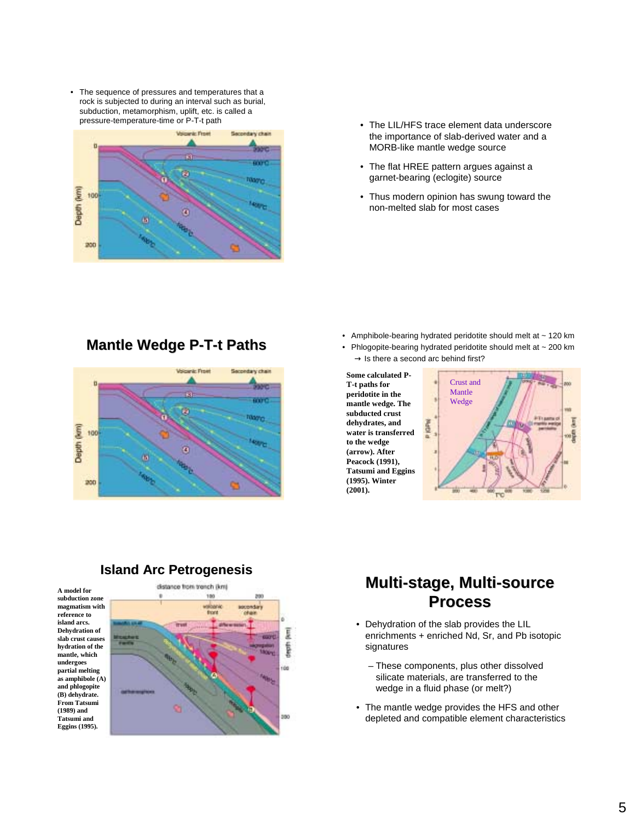• The sequence of pressures and temperatures that a rock is subjected to during an interval such as burial, subduction, metamorphism, uplift, etc. is called a pressure-temperature-time or P-T-t path



- pressure-temperature-temperature-temperature-temperature-temperature-temperature-<br>
which importance of clab derived water and a the importance of slab-derived water and a MORB-like mantle wedge source
	- The flat HREE pattern argues against a garnet-bearing (eclogite) source
	- Thus modern opinion has swung toward the non-melted slab for most cases

**Mantle Wedge P-T-t Paths**



- Amphibole-bearing hydrated peridotite should melt at ~ 120 km
- Phlogopite-bearing hydrated peridotite should melt at ~ 200 km  $\rightarrow$  Is there a second arc behind first?







#### **Island Arc Petrogenesis**

# **Multi-stage, Multi stage, Multi-source Process Process**

- Dehydration of the slab provides the LIL enrichments + enriched Nd, Sr, and Pb isotopic signatures
	- These components, plus other dissolved silicate materials, are transferred to the wedge in a fluid phase (or melt?)
- The mantle wedge provides the HFS and other depleted and compatible element characteristics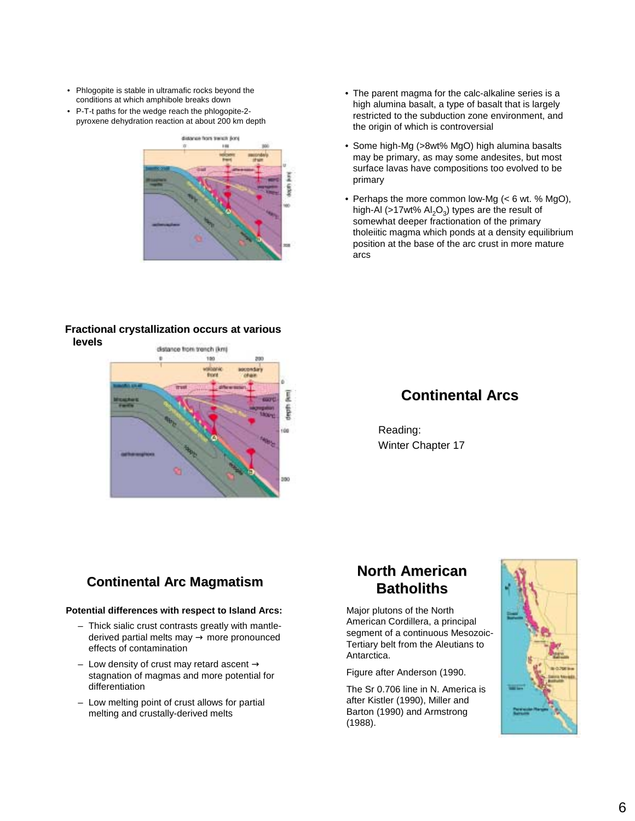- Phlogopite is stable in ultramafic rocks beyond the conditions at which amphibole breaks down
- P-T-t paths for the wedge reach the phlogopite-2 pyroxene dehydration reaction at about 200 km depth



#### **Fractional crystallization occurs at various levels**



- The parent magma for the calc-alkaline series is a high alumina basalt, a type of basalt that is largely restricted to the subduction zone environment, and the origin of which is controversial
- Some high-Mg (>8wt% MgO) high alumina basalts may be primary, as may some andesites, but most surface lavas have compositions too evolved to be primary
- Perhaps the more common low-Mg (< 6 wt. % MgO), high-Al (>17wt%  $Al_2O_3$ ) types are the result of somewhat deeper fractionation of the primary tholeiitic magma which ponds at a density equilibrium position at the base of the arc crust in more mature arcs

## **Continental Arcs**

Reading: Winter Chapter 17

## **Continental Arc Magmatism**

#### **Potential differences with respect to Island Arcs:**

- Thick sialic crust contrasts greatly with mantlederived partial melts may  $\rightarrow$  more pronounced effects of contamination
- Low density of crust may retard ascent  $\rightarrow$ stagnation of magmas and more potential for differentiation
- Low melting point of crust allows for partial melting and crustally-derived melts

# **North American Batholiths**

Major plutons of the North American Cordillera, a principal segment of a continuous Mesozoic-Tertiary belt from the Aleutians to Antarctica.

Figure after Anderson (1990.

The Sr 0.706 line in N. America is after Kistler (1990), Miller and Barton (1990) and Armstrong (1988).

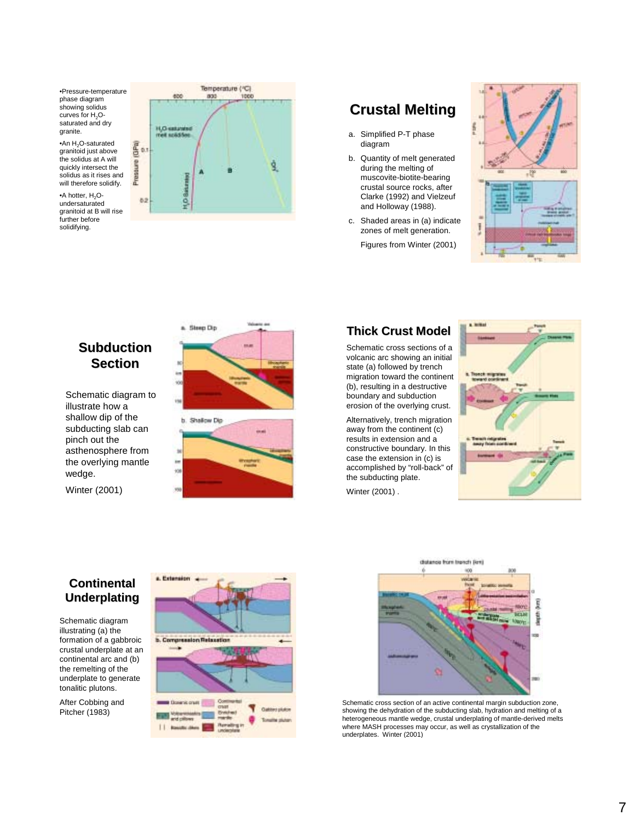•Pressure-temperature phase diagram showing solidus curves for  $H_2O$ saturated and dry granite.

•An  $H_2O$ -saturated granitoid just above the solidus at A will quickly intersect the solidus as it rises and will therefore solidify.

•A hotter, H<sub>2</sub>Oundersaturated granitoid at B will rise further before solidifying.



# **Crustal Melting**

- a. Simplified P-T phase diagram
- b. Quantity of melt generated during the melting of muscovite-biotite-bearing crustal source rocks, after Clarke (1992) and Vielzeuf and Holloway (1988).
- c. Shaded areas in (a) indicate zones of melt generation. Figures from Winter (2001)



## **Subduction Section**

Schematic diagram to illustrate how a shallow dip of the subducting slab can pinch out the asthenosphere from the overlying mantle wedge.

Winter (2001)



#### **Thick Crust Model Thick Crust Model**

Schematic cross sections of a volcanic arc showing an initial state (a) followed by trench migration toward the continent (b), resulting in a destructive boundary and subduction erosion of the overlying crust.

Alternatively, trench migration away from the continent (c) results in extension and a constructive boundary. In this case the extension in (c) is accomplished by "roll-back" of the subducting plate.

Winter (2001) .



### **Continental Continental Underplating**

Schematic diagram illustrating (a) the formation of a gabbroic crustal underplate at an continental arc and (b) the remelting of the underplate to generate tonalitic plutons.

After Cobbing and Pitcher (1983)





Schematic cross section of an active continental margin subduction zone, showing the dehydration of the subducting slab, hydration and melting of a heterogeneous mantle wedge, crustal underplating of mantle-derived melts where MASH processes may occur, as well as crystallization of the underplates. Winter (2001)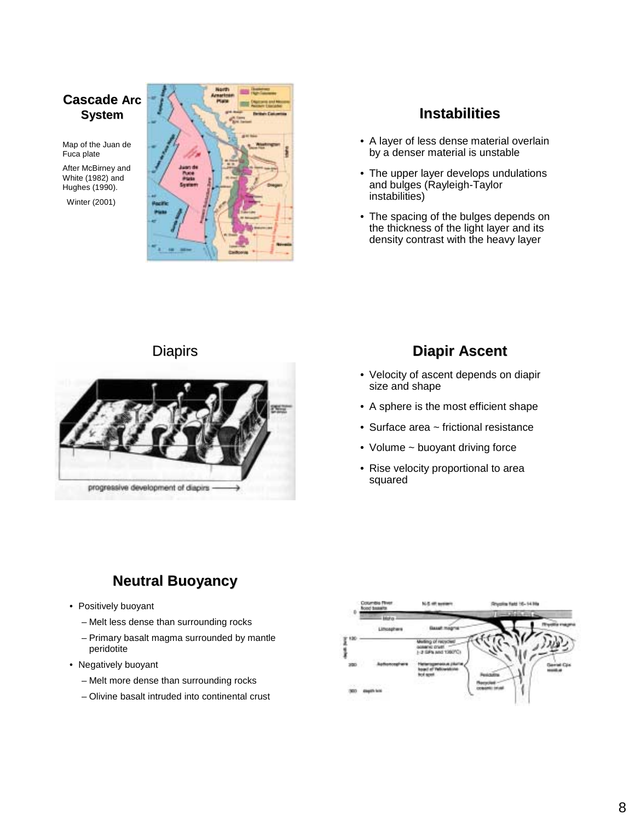### **Cascade Arc System**

Map of the Juan de Fuca plate

After McBirney and White (1982) and Hughes (1990).

Winter (2001)



#### **Instabilities**

- A layer of less dense material overlain by a denser material is unstable
- The upper layer develops undulations and bulges (Rayleigh-Taylor instabilities)
- The spacing of the bulges depends on the thickness of the light layer and its density contrast with the heavy layer



# Diapirs Diapirs **Diapir Ascent Diapir Ascent**

- Velocity of ascent depends on diapir size and shape
- A sphere is the most efficient shape
- Surface area ~ frictional resistance
- Volume ~ buoyant driving force
- Rise velocity proportional to area squared

# **Neutral Buoyancy**

- Positively buoyant
	- Melt less dense than surrounding rocks
	- Primary basalt magma surrounded by mantle peridotite
- Negatively buoyant
	- Melt more dense than surrounding rocks
	- Olivine basalt intruded into continental crust